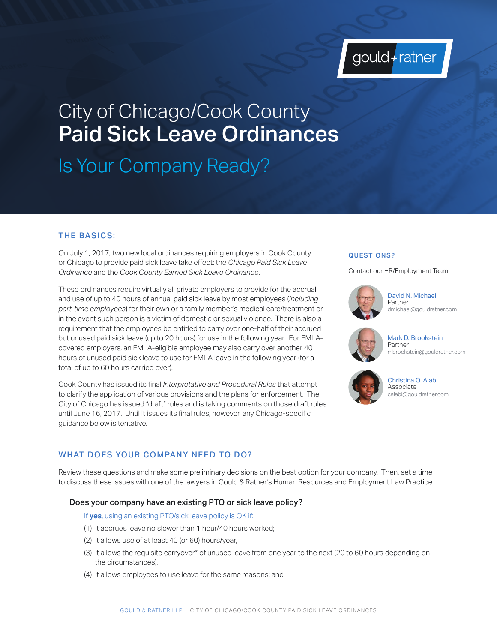

# City of Chicago/Cook County Paid Sick Leave Ordinances

Is Your Company Ready?

## THE BASICS:

On July 1, 2017, two new local ordinances requiring employers in Cook County or Chicago to provide paid sick leave take effect: the *Chicago Paid Sick Leave Ordinance* and the *Cook County Earned Sick Leave Ordinance*.

These ordinances require virtually all private employers to provide for the accrual and use of up to 40 hours of annual paid sick leave by most employees (*including part-time employees*) for their own or a family member's medical care/treatment or in the event such person is a victim of domestic or sexual violence. There is also a requirement that the employees be entitled to carry over one-half of their accrued but unused paid sick leave (up to 20 hours) for use in the following year. For FMLAcovered employers, an FMLA-eligible employee may also carry over another 40 hours of unused paid sick leave to use for FMLA leave in the following year (for a total of up to 60 hours carried over).

Cook County has issued its final *Interpretative and Procedural Rules* that attempt to clarify the application of various provisions and the plans for enforcement. The City of Chicago has issued "draft" rules and is taking comments on those draft rules until June 16, 2017. Until it issues its final rules, however, any Chicago-specific guidance below is tentative.

## QUESTIONS?

Contact our HR/Employment Team



David N. Michael Partner dmichael@gouldratner.com



Mark D. Brookstein Partner mbrookstein@gouldratner.com



Christina O. Alabi Associate calabi@gouldratner.com

## WHAT DOES YOUR COMPANY NEED TO DO?

Review these questions and make some preliminary decisions on the best option for your company. Then, set a time to discuss these issues with one of the lawyers in Gould & Ratner's Human Resources and Employment Law Practice.

## Does your company have an existing PTO or sick leave policy?

If **yes**, using an existing PTO/sick leave policy is OK if:

- (1) it accrues leave no slower than 1 hour/40 hours worked;
- (2) it allows use of at least 40 (or 60) hours/year,
- (3) it allows the requisite carryover\* of unused leave from one year to the next (20 to 60 hours depending on the circumstances),
- (4) it allows employees to use leave for the same reasons; and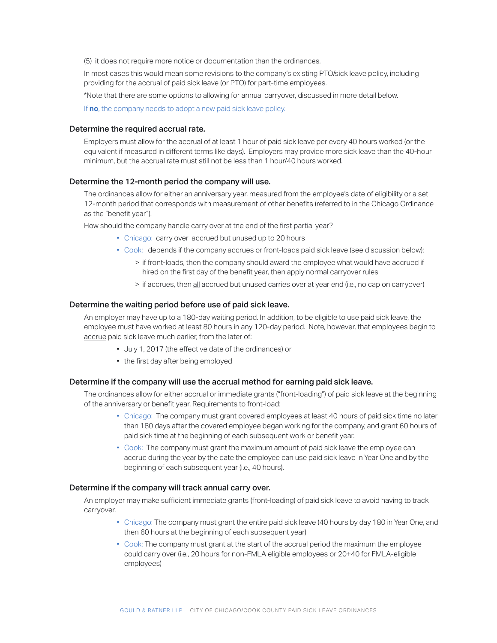(5) it does not require more notice or documentation than the ordinances.

In most cases this would mean some revisions to the company's existing PTO/sick leave policy, including providing for the accrual of paid sick leave (or PTO) for part-time employees.

\*Note that there are some options to allowing for annual carryover, discussed in more detail below.

If **no**, the company needs to adopt a new paid sick leave policy.

## Determine the required accrual rate.

Employers must allow for the accrual of at least 1 hour of paid sick leave per every 40 hours worked (or the equivalent if measured in different terms like days). Employers may provide more sick leave than the 40-hour minimum, but the accrual rate must still not be less than 1 hour/40 hours worked.

### Determine the 12-month period the company will use.

The ordinances allow for either an anniversary year, measured from the employee's date of eligibility or a set 12-month period that corresponds with measurement of other benefits (referred to in the Chicago Ordinance as the "benefit year").

How should the company handle carry over at tne end of the first partial year?

- Chicago: carry over accrued but unused up to 20 hours
- Cook: depends if the company accrues or front-loads paid sick leave (see discussion below):
	- > if front-loads, then the company should award the employee what would have accrued if hired on the first day of the benefit year, then apply normal carryover rules
	- > if accrues, then all accrued but unused carries over at year end (i.e., no cap on carryover)

## Determine the waiting period before use of paid sick leave.

An employer may have up to a 180-day waiting period. In addition, to be eligible to use paid sick leave, the employee must have worked at least 80 hours in any 120-day period. Note, however, that employees begin to accrue paid sick leave much earlier, from the later of:

- July 1, 2017 (the effective date of the ordinances) or
- the first day after being employed

#### Determine if the company will use the accrual method for earning paid sick leave.

The ordinances allow for either accrual or immediate grants ("front-loading") of paid sick leave at the beginning of the anniversary or benefit year. Requirements to front-load:

- Chicago: The company must grant covered employees at least 40 hours of paid sick time no later than 180 days after the covered employee began working for the company, and grant 60 hours of paid sick time at the beginning of each subsequent work or benefit year.
- Cook: The company must grant the maximum amount of paid sick leave the employee can accrue during the year by the date the employee can use paid sick leave in Year One and by the beginning of each subsequent year (i.e., 40 hours).

## Determine if the company will track annual carry over.

An employer may make sufficient immediate grants (front-loading) of paid sick leave to avoid having to track carryover.

- Chicago: The company must grant the entire paid sick leave (40 hours by day 180 in Year One, and then 60 hours at the beginning of each subsequent year)
- Cook: The company must grant at the start of the accrual period the maximum the employee could carry over (i.e., 20 hours for non-FMLA eligible employees or 20+40 for FMLA-eligible employees)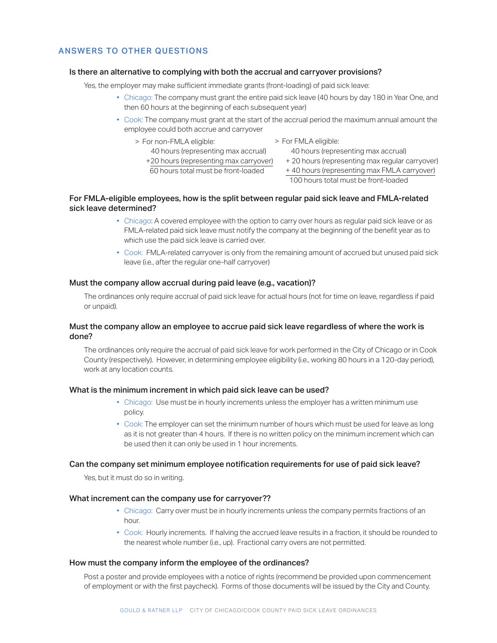## ANSWERS TO OTHER QUESTIONS

## Is there an alternative to complying with both the accrual and carryover provisions?

Yes, the employer may make sufficient immediate grants (front-loading) of paid sick leave:

- Chicago: The company must grant the entire paid sick leave (40 hours by day 180 in Year One, and then 60 hours at the beginning of each subsequent year)
- Cook: The company must grant at the start of the accrual period the maximum annual amount the employee could both accrue and carryover
	- > For non-FMLA eligible:
- > For FMLA eligible:
- 40 hours (representing max accrual)
- 40 hours (representing max accrual)
- +20 hours (representing max carryover) + 20 hours (representing max regular carryover) + 40 hours (representing max FMLA carryover)
- 60 hours total must be front-loaded
	- 100 hours total must be front-loaded

## For FMLA-eligible employees, how is the split between regular paid sick leave and FMLA-related sick leave determined?

- Chicago: A covered employee with the option to carry over hours as regular paid sick leave or as FMLA-related paid sick leave must notify the company at the beginning of the benefit year as to which use the paid sick leave is carried over.
- Cook: FMLA-related carryover is only from the remaining amount of accrued but unused paid sick leave (i.e., after the regular one-half carryover)

### Must the company allow accrual during paid leave (e.g., vacation)?

The ordinances only require accrual of paid sick leave for actual hours (not for time on leave, regardless if paid or unpaid).

## Must the company allow an employee to accrue paid sick leave regardless of where the work is done?

The ordinances only require the accrual of paid sick leave for work performed in the City of Chicago or in Cook County (respectively). However, in determining employee eligibility (i.e., working 80 hours in a 120-day period), work at any location counts.

#### What is the minimum increment in which paid sick leave can be used?

- Chicago: Use must be in hourly increments unless the employer has a written minimum use policy.
- Cook: The employer can set the minimum number of hours which must be used for leave as long as it is not greater than 4 hours. If there is no written policy on the minimum increment which can be used then it can only be used in 1 hour increments.

## Can the company set minimum employee notification requirements for use of paid sick leave?

Yes, but it must do so in writing.

## What increment can the company use for carryover??

- Chicago: Carry over must be in hourly increments unless the company permits fractions of an hour.
- Cook: Hourly increments. If halving the accrued leave results in a fraction, it should be rounded to the nearest whole number (i.e., up). Fractional carry overs are not permitted.

### How must the company inform the employee of the ordinances?

Post a poster and provide employees with a notice of rights (recommend be provided upon commencement of employment or with the first paycheck). Forms of those documents will be issued by the City and County.